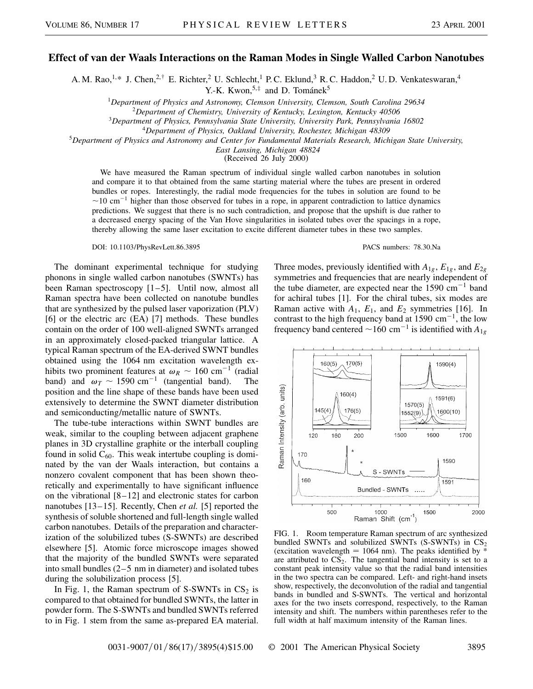## **Effect of van der Waals Interactions on the Raman Modes in Single Walled Carbon Nanotubes**

A. M. Rao,<sup>1,\*</sup> J. Chen,<sup>2,†</sup> E. Richter,<sup>2</sup> U. Schlecht,<sup>1</sup> P. C. Eklund,<sup>3</sup> R. C. Haddon,<sup>2</sup> U. D. Venkateswaran,<sup>4</sup>

Y.-K. Kwon,<sup>5,‡</sup> and D. Tománek<sup>5</sup>

<sup>1</sup>*Department of Physics and Astronomy, Clemson University, Clemson, South Carolina 29634*

<sup>2</sup>*Department of Chemistry, University of Kentucky, Lexington, Kentucky 40506*

<sup>3</sup>*Department of Physics, Pennsylvania State University, University Park, Pennsylvania 16802*

<sup>4</sup>*Department of Physics, Oakland University, Rochester, Michigan 48309*

<sup>5</sup>*Department of Physics and Astronomy and Center for Fundamental Materials Research, Michigan State University,*

*East Lansing, Michigan 48824*

(Received 26 July 2000)

We have measured the Raman spectrum of individual single walled carbon nanotubes in solution and compare it to that obtained from the same starting material where the tubes are present in ordered bundles or ropes. Interestingly, the radial mode frequencies for the tubes in solution are found to be  $\sim$ 10 cm<sup>-1</sup> higher than those observed for tubes in a rope, in apparent contradiction to lattice dynamics predictions. We suggest that there is no such contradiction, and propose that the upshift is due rather to a decreased energy spacing of the Van Hove singularities in isolated tubes over the spacings in a rope, thereby allowing the same laser excitation to excite different diameter tubes in these two samples.

DOI: 10.1103/PhysRevLett.86.3895 PACS numbers: 78.30.Na

The dominant experimental technique for studying phonons in single walled carbon nanotubes (SWNTs) has been Raman spectroscopy [1–5]. Until now, almost all Raman spectra have been collected on nanotube bundles that are synthesized by the pulsed laser vaporization (PLV) [6] or the electric arc (EA) [7] methods. These bundles contain on the order of 100 well-aligned SWNTs arranged in an approximately closed-packed triangular lattice. A typical Raman spectrum of the EA-derived SWNT bundles obtained using the 1064 nm excitation wavelength exhibits two prominent features at  $\omega_R \sim 160 \text{ cm}^{-1}$  (radial band) and  $\omega_T \sim 1590 \text{ cm}^{-1}$  (tangential band). position and the line shape of these bands have been used extensively to determine the SWNT diameter distribution and semiconducting/metallic nature of SWNTs.

The tube-tube interactions within SWNT bundles are weak, similar to the coupling between adjacent graphene planes in 3D crystalline graphite or the interball coupling found in solid  $C_{60}$ . This weak intertube coupling is dominated by the van der Waals interaction, but contains a nonzero covalent component that has been shown theoretically and experimentally to have significant influence on the vibrational [8–12] and electronic states for carbon nanotubes [13–15]. Recently, Chen *et al.* [5] reported the synthesis of soluble shortened and full-length single walled carbon nanotubes. Details of the preparation and characterization of the solubilized tubes (S-SWNTs) are described elsewhere [5]. Atomic force microscope images showed that the majority of the bundled SWNTs were separated into small bundles (2–5 nm in diameter) and isolated tubes during the solubilization process [5].

In Fig. 1, the Raman spectrum of  $S-SWNTs$  in  $CS<sub>2</sub>$  is compared to that obtained for bundled SWNTs, the latter in powder form. The S-SWNTs and bundled SWNTs referred to in Fig. 1 stem from the same as-prepared EA material.

Three modes, previously identified with  $A_{1g}$ ,  $E_{1g}$ , and  $E_{2g}$ symmetries and frequencies that are nearly independent of the tube diameter, are expected near the  $1590 \text{ cm}^{-1}$  band for achiral tubes [1]. For the chiral tubes, six modes are Raman active with *A*1, *E*1, and *E*<sup>2</sup> symmetries [16]. In contrast to the high frequency band at  $1590 \text{ cm}^{-1}$ , the low frequency band centered  $\sim$  160 cm<sup>-1</sup> is identified with  $A_{1g}$ 



FIG. 1. Room temperature Raman spectrum of arc synthesized bundled SWNTs and solubilized SWNTs (S-SWNTs) in  $CS_2$ (excitation wavelength  $= 1064$  nm). The peaks identified by  $*$ are attributed to  $CS_2$ . The tangential band intensity is set to a constant peak intensity value so that the radial band intensities in the two spectra can be compared. Left- and right-hand insets show, respectively, the deconvolution of the radial and tangential bands in bundled and S-SWNTs. The vertical and horizontal axes for the two insets correspond, respectively, to the Raman intensity and shift. The numbers within parentheses refer to the full width at half maximum intensity of the Raman lines.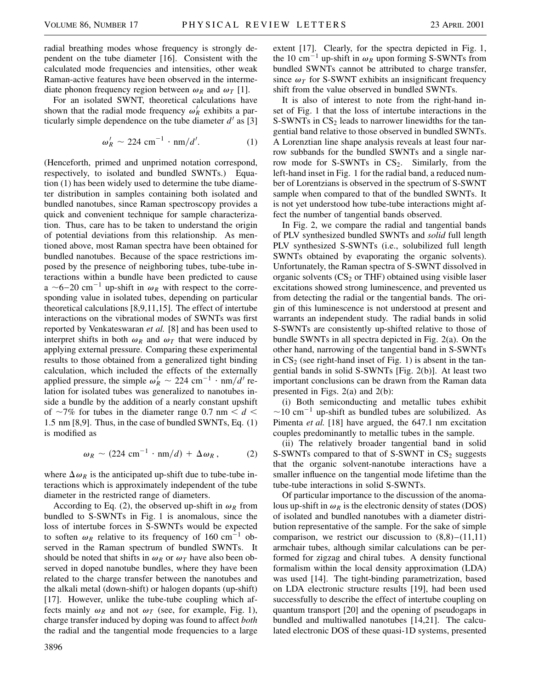radial breathing modes whose frequency is strongly dependent on the tube diameter [16]. Consistent with the calculated mode frequencies and intensities, other weak Raman-active features have been observed in the intermediate phonon frequency region between  $\omega_R$  and  $\omega_T$  [1].

For an isolated SWNT, theoretical calculations have shown that the radial mode frequency  $\omega_R^j$  exhibits a particularly simple dependence on the tube diameter  $d'$  as [3]

$$
\omega_R' \sim 224 \text{ cm}^{-1} \cdot \text{nm}/d'. \tag{1}
$$

(Henceforth, primed and unprimed notation correspond, respectively, to isolated and bundled SWNTs.) Equation (1) has been widely used to determine the tube diameter distribution in samples containing both isolated and bundled nanotubes, since Raman spectroscopy provides a quick and convenient technique for sample characterization. Thus, care has to be taken to understand the origin of potential deviations from this relationship. As mentioned above, most Raman spectra have been obtained for bundled nanotubes. Because of the space restrictions imposed by the presence of neighboring tubes, tube-tube interactions within a bundle have been predicted to cause a  $\sim$ 6–20 cm<sup>-1</sup> up-shift in  $\omega_R$  with respect to the corresponding value in isolated tubes, depending on particular theoretical calculations [8,9,11,15]. The effect of intertube interactions on the vibrational modes of SWNTs was first reported by Venkateswaran *et al.* [8] and has been used to interpret shifts in both  $\omega_R$  and  $\omega_T$  that were induced by applying external pressure. Comparing these experimental results to those obtained from a generalized tight binding calculation, which included the effects of the externally applied pressure, the simple  $\omega_R^i \sim 224 \text{ cm}^{-1} \cdot \text{nm}/d'$  relation for isolated tubes was generalized to nanotubes inside a bundle by the addition of a nearly constant upshift of  $\sim$ 7% for tubes in the diameter range 0.7 nm  $\lt d \lt$ 1.5 nm [8,9]. Thus, in the case of bundled SWNTs, Eq. (1) is modified as

$$
\omega_R \sim (224 \text{ cm}^{-1} \cdot \text{nm}/d) + \Delta \omega_R, \qquad (2)
$$

where  $\Delta \omega_R$  is the anticipated up-shift due to tube-tube interactions which is approximately independent of the tube diameter in the restricted range of diameters.

According to Eq. (2), the observed up-shift in  $\omega_R$  from bundled to S-SWNTs in Fig. 1 is anomalous, since the loss of intertube forces in S-SWNTs would be expected to soften  $\omega_R$  relative to its frequency of 160 cm<sup>-1</sup> observed in the Raman spectrum of bundled SWNTs. It should be noted that shifts in  $\omega_R$  or  $\omega_T$  have also been observed in doped nanotube bundles, where they have been related to the charge transfer between the nanotubes and the alkali metal (down-shift) or halogen dopants (up-shift) [17]. However, unlike the tube-tube coupling which affects mainly  $\omega_R$  and not  $\omega_T$  (see, for example, Fig. 1), charge transfer induced by doping was found to affect *both* the radial and the tangential mode frequencies to a large

3896

extent [17]. Clearly, for the spectra depicted in Fig. 1, the 10 cm<sup>-1</sup> up-shift in  $\omega_R$  upon forming S-SWNTs from bundled SWNTs cannot be attributed to charge transfer, since  $\omega_T$  for S-SWNT exhibits an insignificant frequency shift from the value observed in bundled SWNTs.

It is also of interest to note from the right-hand inset of Fig. 1 that the loss of intertube interactions in the S-SWNTs in  $CS<sub>2</sub>$  leads to narrower linewidths for the tangential band relative to those observed in bundled SWNTs. A Lorenztian line shape analysis reveals at least four narrow subbands for the bundled SWNTs and a single narrow mode for S-SWNTs in  $CS_2$ . Similarly, from the left-hand inset in Fig. 1 for the radial band, a reduced number of Lorentzians is observed in the spectrum of S-SWNT sample when compared to that of the bundled SWNTs. It is not yet understood how tube-tube interactions might affect the number of tangential bands observed.

In Fig. 2, we compare the radial and tangential bands of PLV synthesized bundled SWNTs and *solid* full length PLV synthesized S-SWNTs (i.e., solubilized full length SWNTs obtained by evaporating the organic solvents). Unfortunately, the Raman spectra of S-SWNT dissolved in organic solvents  $(CS_2$  or THF) obtained using visible laser excitations showed strong luminescence, and prevented us from detecting the radial or the tangential bands. The origin of this luminescence is not understood at present and warrants an independent study. The radial bands in solid S-SWNTs are consistently up-shifted relative to those of bundle SWNTs in all spectra depicted in Fig. 2(a). On the other hand, narrowing of the tangential band in S-SWNTs in  $CS_2$  (see right-hand inset of Fig. 1) is absent in the tangential bands in solid S-SWNTs [Fig. 2(b)]. At least two important conclusions can be drawn from the Raman data presented in Figs. 2(a) and 2(b):

(i) Both semiconducting and metallic tubes exhibit  $\sim$ 10 cm<sup>-1</sup> up-shift as bundled tubes are solubilized. As Pimenta *et al.* [18] have argued, the 647.1 nm excitation couples predominantly to metallic tubes in the sample.

(ii) The relatively broader tangential band in solid S-SWNTs compared to that of S-SWNT in  $CS_2$  suggests that the organic solvent-nanotube interactions have a smaller influence on the tangential mode lifetime than the tube-tube interactions in solid S-SWNTs.

Of particular importance to the discussion of the anomalous up-shift in  $\omega_R$  is the electronic density of states (DOS) of isolated and bundled nanotubes with a diameter distribution representative of the sample. For the sake of simple comparison, we restrict our discussion to  $(8.8)$ – $(11.11)$ armchair tubes, although similar calculations can be performed for zigzag and chiral tubes. A density functional formalism within the local density approximation (LDA) was used [14]. The tight-binding parametrization, based on LDA electronic structure results [19], had been used successfully to describe the effect of intertube coupling on quantum transport [20] and the opening of pseudogaps in bundled and multiwalled nanotubes [14,21]. The calculated electronic DOS of these quasi-1D systems, presented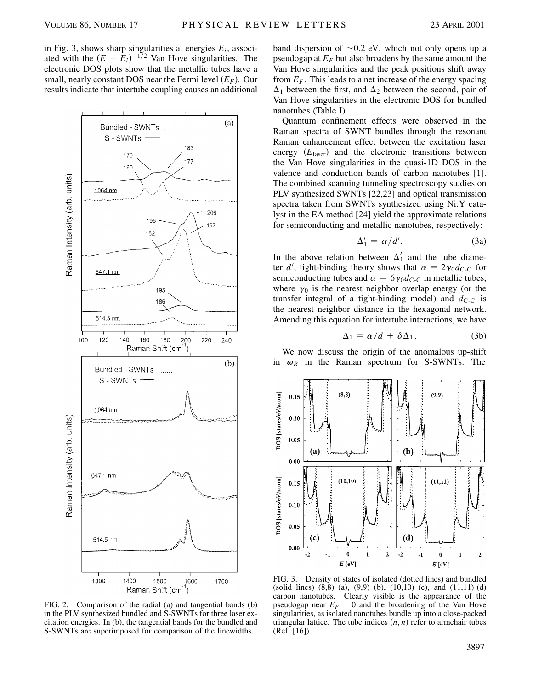in Fig. 3, shows sharp singularities at energies  $E_i$ , associated with the  $(E - E_i)^{-1/2}$  Van Hove singularities. The electronic DOS plots show that the metallic tubes have a small, nearly constant DOS near the Fermi level  $(E_F)$ . Our results indicate that intertube coupling causes an additional



FIG. 2. Comparison of the radial (a) and tangential bands (b) in the PLV synthesized bundled and S-SWNTs for three laser excitation energies. In (b), the tangential bands for the bundled and S-SWNTs are superimposed for comparison of the linewidths.

band dispersion of  $\sim 0.2$  eV, which not only opens up a pseudogap at  $E_F$  but also broadens by the same amount the Van Hove singularities and the peak positions shift away from  $E_F$ . This leads to a net increase of the energy spacing  $\Delta_1$  between the first, and  $\Delta_2$  between the second, pair of Van Hove singularities in the electronic DOS for bundled nanotubes (Table I).

Quantum confinement effects were observed in the Raman spectra of SWNT bundles through the resonant Raman enhancement effect between the excitation laser energy  $(E_{\text{laser}})$  and the electronic transitions between the Van Hove singularities in the quasi-1D DOS in the valence and conduction bands of carbon nanotubes [1]. The combined scanning tunneling spectroscopy studies on PLV synthesized SWNTs [22,23] and optical transmission spectra taken from SWNTs synthesized using Ni:Y catalyst in the EA method [24] yield the approximate relations for semiconducting and metallic nanotubes, respectively:

$$
\Delta_1' = \alpha/d'.
$$
 (3a)

In the above relation between  $\Delta'_1$  and the tube diameter  $d'$ , tight-binding theory shows that  $\alpha = 2\gamma_0 d_{\text{C-C}}$  for semiconducting tubes and  $\alpha = 6\gamma_0 d_{\text{C-C}}$  in metallic tubes, where  $\gamma_0$  is the nearest neighbor overlap energy (or the transfer integral of a tight-binding model) and  $d_{C-C}$  is the nearest neighbor distance in the hexagonal network. Amending this equation for intertube interactions, we have

$$
\Delta_1 = \alpha/d + \delta \Delta_1. \tag{3b}
$$

We now discuss the origin of the anomalous up-shift in  $\omega_R$  in the Raman spectrum for S-SWNTs. The



FIG. 3. Density of states of isolated (dotted lines) and bundled (solid lines)  $(8,8)$  (a),  $(9,9)$  (b),  $(10,10)$  (c), and  $(11,11)$  (d) carbon nanotubes. Clearly visible is the appearance of the pseudogap near  $E_F = 0$  and the broadening of the Van Hove singularities, as isolated nanotubes bundle up into a close-packed triangular lattice. The tube indices  $(n, n)$  refer to armchair tubes (Ref. [16]).